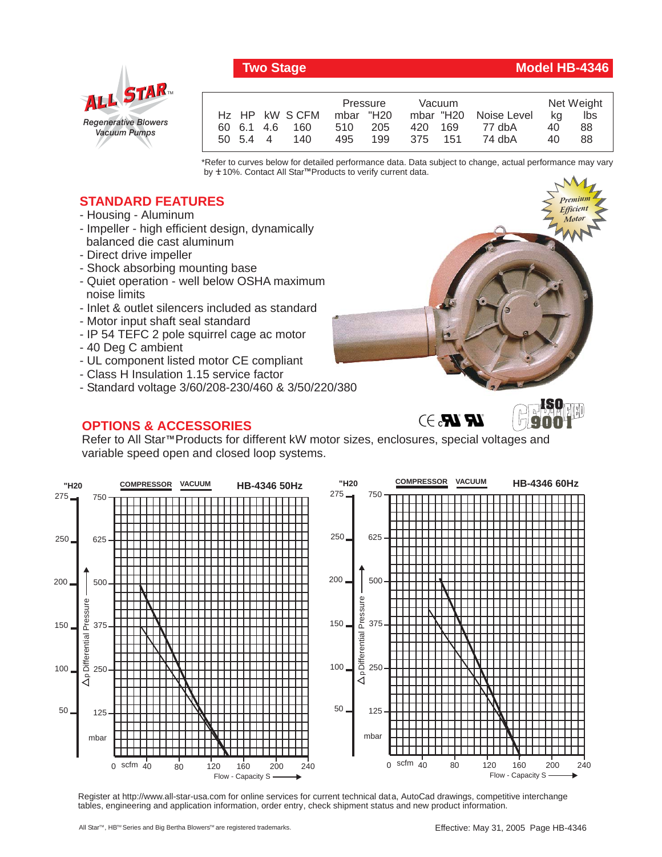

## *Regenerative Blowers Vacuum Pumps* ALL STAR

|                | Pressure   | Vacuum  |                       | Net Weight |     |
|----------------|------------|---------|-----------------------|------------|-----|
| Hz HP kW SCFM  | mbar "H20  |         | mbar "H20 Noise Level | ka         | lbs |
| 60 6.1 4.6 160 | 510 205    | 420 169 | 77 dbA                | 40         | 88  |
| 140<br>50 54 4 | 199<br>495 | 375 151 | 74 dbA                | 40         | 88  |
|                |            |         |                       |            |     |

\*Refer to curves below for detailed performance data. Data subject to change, actual performance may vary by **+** 10%. Contact All Star™Products to verify current data.

## **STANDARD FEATURES**

- Housing Aluminum
- Impeller high efficient design, dynamically balanced die cast aluminum
- Direct drive impeller
- Shock absorbing mounting base
- Quiet operation well below OSHA maximum noise limits
- Inlet & outlet silencers included as standard
- Motor input shaft seal standard
- IP 54 TEFC 2 pole squirrel cage ac motor
- 40 Deg C ambient
- UL component listed motor CE compliant
- Class H Insulation 1.15 service factor
- Standard voltage 3/60/208-230/460 & 3/50/220/380

## **OPTIONS & ACCESSORIES**

Refer to All Star<sup>™</sup> Products for different kW motor sizes, enclosures, special voltages and variable speed open and closed loop systems.



Register at http://www.all-star-usa.com for online services for current technical data, AutoCad drawings, competitive interchange tables, engineering and application information, order entry, check shipment status and new product information.

## Two Stage Model HB-4346

*Premium Efficient Motor*

*Premium Efficient Motor*